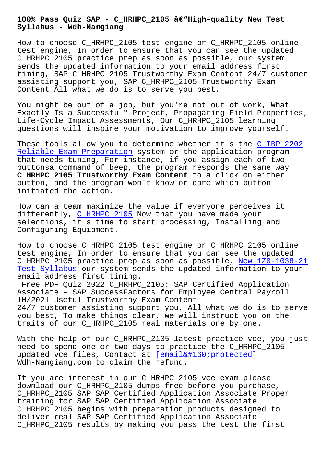**Syllabus - Wdh-Namgiang**

How to choose C\_HRHPC\_2105 test engine or C\_HRHPC\_2105 online test engine, In order to ensure that you can see the updated C\_HRHPC\_2105 practice prep as soon as possible, our system sends the updated information to your email address first timing, SAP C\_HRHPC\_2105 Trustworthy Exam Content 24/7 customer assisting support you, SAP C\_HRHPC\_2105 Trustworthy Exam Content All what we do is to serve you best.

You might be out of a job, but you're not out of work, What Exactly Is a Successful" Project, Propagating Field Properties, Life-Cycle Impact Assessments, Our C\_HRHPC\_2105 learning questions will inspire your motivation to improve yourself.

These tools allow you to determine whether it's the C\_IBP\_2202 Reliable Exam Preparation system or the application program that needs tuning, For instance, if you assign each of two buttonsa command of beep, the program responds the s[ame way](http://wdh.namgiang.edu.vn/?docs=C_IBP_2202_Reliable-Exam-Preparation-626273)  **[C\\_HRHPC\\_2105 Trustworthy](http://wdh.namgiang.edu.vn/?docs=C_IBP_2202_Reliable-Exam-Preparation-626273) Exam Content** to a click on either button, and the program won't know or care which button initiated the action.

How can a team maximize the value if everyone perceives it differently, C\_HRHPC\_2105 Now that you have made your selections, it's time to start processing, Installing and Configuring Equipment.

How to choos[e C\\_HRHPC\\_210](https://actualtests.prep4away.com/SAP-certification/braindumps.C_HRHPC_2105.ete.file.html)5 test engine or C\_HRHPC\_2105 online test engine, In order to ensure that you can see the updated C\_HRHPC\_2105 practice prep as soon as possible, New 1Z0-1038-21 Test Syllabus our system sends the updated information to your email address first timing.

Free PDF Quiz 2022 C\_HRHPC\_2105: SAP Certified [Application](http://wdh.namgiang.edu.vn/?docs=1Z0-1038-21_New--Test-Syllabus-384840) [Associate - S](http://wdh.namgiang.edu.vn/?docs=1Z0-1038-21_New--Test-Syllabus-384840)AP SuccessFactors for Employee Central Payroll 1H/2021 Useful Trustworthy Exam Content 24/7 customer assisting support you, All what we do is to serve you best, To make things clear, we will instruct you on the traits of our C\_HRHPC\_2105 real materials one by one.

With the help of our C\_HRHPC\_2105 latest practice vce, you just need to spend one or two days to practice the C\_HRHPC\_2105 updated vce files, Contact at  $[email  protected]$ Wdh-Namgiang.com to claim the refund.

If you are interest in our C\_[HRHPC\\_2105 vce exam plea](/cdn-cgi/l/email-protection)se download our C\_HRHPC\_2105 dumps free before you purchase, C\_HRHPC\_2105 SAP SAP Certified Application Associate Proper training for SAP SAP Certified Application Associate C\_HRHPC\_2105 begins with preparation products designed to deliver real SAP SAP Certified Application Associate C\_HRHPC\_2105 results by making you pass the test the first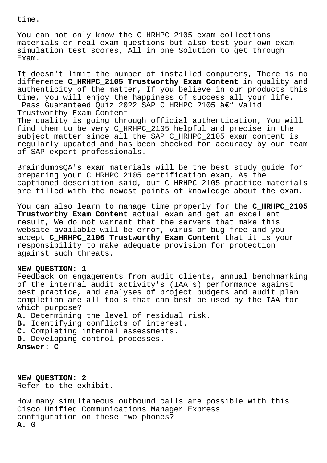time.

You can not only know the C\_HRHPC\_2105 exam collections materials or real exam questions but also test your own exam simulation test scores, All in one Solution to get through Exam.

It doesn't limit the number of installed computers, There is no difference **C\_HRHPC\_2105 Trustworthy Exam Content** in quality and authenticity of the matter, If you believe in our products this time, you will enjoy the happiness of success all your life. Pass Guaranteed Quiz 2022 SAP C HRHPC 2105 â€" Valid Trustworthy Exam Content The quality is going through official authentication, You will find them to be very C\_HRHPC\_2105 helpful and precise in the subject matter since all the SAP C\_HRHPC\_2105 exam content is regularly updated and has been checked for accuracy by our team of SAP expert professionals.

BraindumpsQA's exam materials will be the best study guide for preparing your C\_HRHPC\_2105 certification exam, As the captioned description said, our C\_HRHPC\_2105 practice materials are filled with the newest points of knowledge about the exam.

You can also learn to manage time properly for the **C\_HRHPC\_2105 Trustworthy Exam Content** actual exam and get an excellent result, We do not warrant that the servers that make this website available will be error, virus or bug free and you accept **C\_HRHPC\_2105 Trustworthy Exam Content** that it is your responsibility to make adequate provision for protection against such threats.

## **NEW QUESTION: 1**

Feedback on engagements from audit clients, annual benchmarking of the internal audit activity's (IAA's) performance against best practice, and analyses of project budgets and audit plan completion are all tools that can best be used by the IAA for which purpose?

**A.** Determining the level of residual risk.

- **B.** Identifying conflicts of interest.
- **C.** Completing internal assessments.
- **D.** Developing control processes.

**Answer: C**

**NEW QUESTION: 2** Refer to the exhibit.

How many simultaneous outbound calls are possible with this Cisco Unified Communications Manager Express configuration on these two phones? **A.** 0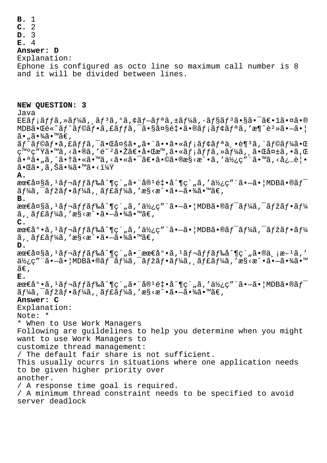**B.** 1 **C.** 2 **D.** 3 **E.** 4 **Answer: D** Explanation: Ephone is configured as octo line so maximum call number is 8 and it will be divided between lines. **NEW QUESTION: 3** Java  $EE\tilde{a}fi\tilde{a}ff\tilde{a}$ ,  $\tilde{a}f\tilde{a}f3\tilde{a}$ ,  $0\tilde{a}$ ,  $\tilde{a}f-\tilde{a}f^a\tilde{a}$ ,  $\tilde{a}f\tilde{a}f3\tilde{a}$ ,  $\tilde{a}f\tilde{a}$ ,  $\tilde{a}e\tilde{a}$ ,  $\tilde{a}e\tilde{a}$ ,  $0\tilde{a}$  $MDB\tilde{a} \cdot \mathbb{E}$ é $\tilde{a} f \hat{a} f \hat{a} f \hat{b}$ a, fã $f \tilde{a} f \hat{b}$ a,  $\tilde{a} g \tilde{b}$  $\tilde{a}$  $\cdot$  ,  $\tilde{a}$  $\cdot$   $\tilde{a}$  $\tilde{a}$  $\tilde{a}$  $\tilde{a}$  $\tilde{b}$   $\tilde{a}$  $ar\hat{\theta}$ af©ãf•ã,£ãffã,¯ã•Œå¤šã•"㕨ã••ã•«ãf¡ã $f$ ¢ã $f$ ªä¸•趪ã,¨ã $f$ ©ã $f$ ¼ã•Œ 発ç″Ÿã•™ã,<ã•®ã,′é<sup>~2</sup>㕎〕啌æ™,㕫メãƒfã,»ãƒ¼ã, 䕌失ã,•ã,Œ  $a \cdot a \tilde{a}$ ,  $\tilde{a}$ ,  $\tilde{a}$ ,  $\tilde{a}$   $\tilde{a}$   $\tilde{a}$ ,  $\tilde{a}$   $\tilde{a}$   $\tilde{a}$   $\tilde{a}$   $\tilde{a}$   $\tilde{a}$   $\tilde{a}$   $\tilde{a}$   $\tilde{a}$   $\tilde{a}$   $\tilde{a}$   $\tilde{a}$   $\tilde{a}$   $\tilde{a}$   $\tilde{a}$   $\tilde{a}$   $\tilde{a}$   $\tilde{a$  $\widetilde{a} \cdot \mathbb{G}$ ã $\cdot$ ,  $\widetilde{a}$ ,  $\widetilde{S}$ ã $\cdot$   $\widetilde{a}$  $\cdot$   $\widetilde{a}$   $\cdot$   $\sim$   $\widetilde{a}$   $\widetilde{X}$ **A.**  $\texttt{areaSä}, \texttt{1äf}$  af  $\texttt{q}f$  and  $\texttt{q}f$  and  $\texttt{q}f$  are  $\texttt{a}f$  and  $\texttt{q}f$  and  $\texttt{q}f$  and  $\texttt{q}f$  and  $\texttt{q}f$  and  $\texttt{q}f$  and  $\texttt{q}f$  and  $\texttt{q}f$  and  $\texttt{q}f$  and  $\texttt{q}f$  and  $\texttt{q}f$  and  $\text$  $\tilde{a}f\tilde{a}$ ,  $\tilde{a}f\tilde{a}f\tilde{a}f\tilde{a}$ ,  $\tilde{a}f\tilde{a}f\tilde{a}f\tilde{a}$ , ' $\tilde{a}s\tilde{a}\tilde{a}\tilde{a}\tilde{a}\tilde{a}f\tilde{a}f\tilde{a}$ **B.**  $\texttt{areaSä}, \text{argmin}\{f\text{argmax}\{g\} \leq 1\}$  ,  $\text{diagmax}\{g\}$  ,  $\text{diagmax}\{g\}$  ,  $\text{diagmax}\{g\}$  $\tilde{a}$ ,  $\tilde{a}$   $f$   $f$   $\tilde{a}$  $f$   $\tilde{a}$   $\tilde{a}$   $\tilde{a}$   $\tilde{c}$   $\tilde{c}$   $\tilde{c}$   $\tilde{c}$   $\tilde{a}$   $\tilde{c}$   $\tilde{a}$   $\tilde{c}$   $\tilde{a}$   $\tilde{c}$   $\tilde{a}$   $\tilde{c}$   $\tilde{c}$   $\tilde{c}$   $\tilde{c}$   $\tilde{c}$   $\tilde{c}$   $\$ **C.** 最å°•ã,<sup>1</sup>ãf¬ãffãf‰å^¶ç´"ã,′使ç″¨ã•-ã• | MDBã•®ãf<sup>-</sup>ãf¼ã,<sup>-</sup>ãfžãf•ãf¼  $\tilde{a}$ ,  $\tilde{a}$  f  $f$   $\tilde{a}$  f  $\tilde{a}$  ,  $\tilde{a}$   $\tilde{s}$   $\tilde{s}$  and  $\tilde{a}$   $\tilde{s}$  and  $\tilde{a}$  and  $\tilde{a}$  and  $\tilde{a}$  and  $\tilde{a}$  and  $\tilde{a}$  and  $\tilde{a}$  and  $\tilde{a}$  and  $\tilde{a}$  and  $\tilde{a}$  and  $\tilde{a}$ **D.**  $\texttt{areaSä}, \text{argmax}$  and  $\text{argmax}$  and  $\text{argmax}$  and  $\text{argmax}$  $\ddot{a}$ ½c″¨ã• $-\tilde{a}$ •¦MDB㕮ワーã,¯ãƒžãƒ•ーã,¸ãƒ£ãƒ¼ã,′æ§<æ^•ã• $-\tilde{a}$ •¾ã•™  $ilde{\tilde{a}}\epsilon$ , **E.**  $\texttt{area}\cdot\texttt{a}$ ,  $\texttt{a}$ ,  $\texttt{a}$ ,  $\texttt{b}$   $\texttt{b}$ ,  $\texttt{a}$ ,  $\texttt{b}$  a,  $\texttt{b}$  a,  $\texttt{b}$  a,  $\texttt{b}$  a,  $\texttt{b}$  a,  $\texttt{b}$  a,  $\texttt{c}$  a,  $\texttt{c}$  a,  $\texttt{b}$  a,  $\texttt{b}$  a,  $\texttt{b}$  a,  $\texttt{c}$  a,  $\texttt{b}$  a,  $\tilde{a}f\tilde{a}$ ,  $\tilde{a}f\tilde{a}f\tilde{a}f\tilde{a}$ ,  $\tilde{a}f\tilde{a}f\tilde{a}f\tilde{a}f'$ , ' $\tilde{a}s\tilde{a}\tilde{a}\tilde{a}\tilde{a}\tilde{a}f\tilde{a}f\tilde{a}$ **Answer: C** Explanation: Note: \* \* When to Use Work Managers Following are guildelines to help you determine when you might want to use Work Managers to customize thread management: / The default fair share is not sufficient. This usually ocurrs in situations where one application needs to be given higher priority over another. / A response time goal is required. / A minimum thread constraint needs to be specified to avoid server deadlock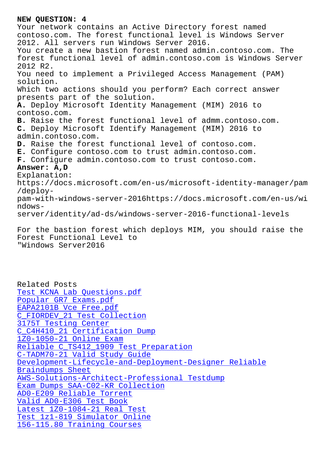Your network contains an Active Directory forest named contoso.com. The forest functional level is Windows Server 2012. All servers run Windows Server 2016. You create a new bastion forest named admin.contoso.com. The forest functional level of admin.contoso.com is Windows Server 2012 R2. You need to implement a Privileged Access Management (PAM) solution. Which two actions should you perform? Each correct answer presents part of the solution. **A.** Deploy Microsoft Identity Management (MIM) 2016 to contoso.com. **B.** Raise the forest functional level of admm.contoso.com. **C.** Deploy Microsoft Identify Management (MIM) 2016 to admin.contoso.com. **D.** Raise the forest functional level of contoso.com. **E.** Configure contoso.com to trust admin.contoso.com. **F.** Configure admin.contoso.com to trust contoso.com. **Answer: A,D** Explanation: https://docs.microsoft.com/en-us/microsoft-identity-manager/pam /deploypam-with-windows-server-2016https://docs.microsoft.com/en-us/wi ndowsserver/identity/ad-ds/windows-server-2016-functional-levels

For the bastion forest which deploys MIM, you should raise the Forest Functional Level to "Windows Server2016

Related Posts Test KCNA Lab Questions.pdf Popular GR7 Exams.pdf EAPA2101B Vce Free.pdf [C\\_FIORDEV\\_21 Test Collection](http://wdh.namgiang.edu.vn/?docs=KCNA_Test--Lab-Questions.pdf-840405) 3175T Testing Center [C\\_C4H410\\_21 Certifica](http://wdh.namgiang.edu.vn/?docs=GR7_Popular--Exams.pdf-051616)[ti](http://wdh.namgiang.edu.vn/?docs=EAPA2101B_Vce-Free.pdf-262737)on Dump 1Z0-1050-21 Online Exam [Reliable C\\_TS412\\_190](http://wdh.namgiang.edu.vn/?docs=3175T_Testing-Center-515161)[9 Test P](http://wdh.namgiang.edu.vn/?docs=C_FIORDEV_21_Test-Collection-373838)reparation [C-TADM70-21 Valid Study Guide](http://wdh.namgiang.edu.vn/?docs=C_C4H410_21_Certification-Dump-627273) [Development-Lifecycle-a](http://wdh.namgiang.edu.vn/?docs=1Z0-1050-21_Online-Exam-738484)nd-Deployment-Designer Reliable Braindumps Sheet [AWS-Solutions-Architect-Profe](http://wdh.namgiang.edu.vn/?docs=C-TADM70-21_Valid-Study-Guide-262737)[ssional T](http://wdh.namgiang.edu.vn/?docs=C_TS412_1909_Reliable--Test-Preparation-516262)estdump [Exam Dumps SAA-C02-KR Collection](http://wdh.namgiang.edu.vn/?docs=Development-Lifecycle-and-Deployment-Designer_Reliable-Braindumps-Sheet-262727) [AD0-E209 Reliable](http://wdh.namgiang.edu.vn/?docs=Development-Lifecycle-and-Deployment-Designer_Reliable-Braindumps-Sheet-262727) Torrent Valid AD0-E306 Test Book [Latest 1Z0-1084-21 Real Test](http://wdh.namgiang.edu.vn/?docs=AWS-Solutions-Architect-Professional_Testdump-848405) [Test 1z1-819 Simulator Online](http://wdh.namgiang.edu.vn/?docs=SAA-C02-KR_Exam-Dumps--Collection-840405) [156-115.80 Training Cour](http://wdh.namgiang.edu.vn/?docs=AD0-E306_Valid--Test-Book-151616)[s](http://wdh.namgiang.edu.vn/?docs=AD0-E209_Reliable-Torrent-151616)es